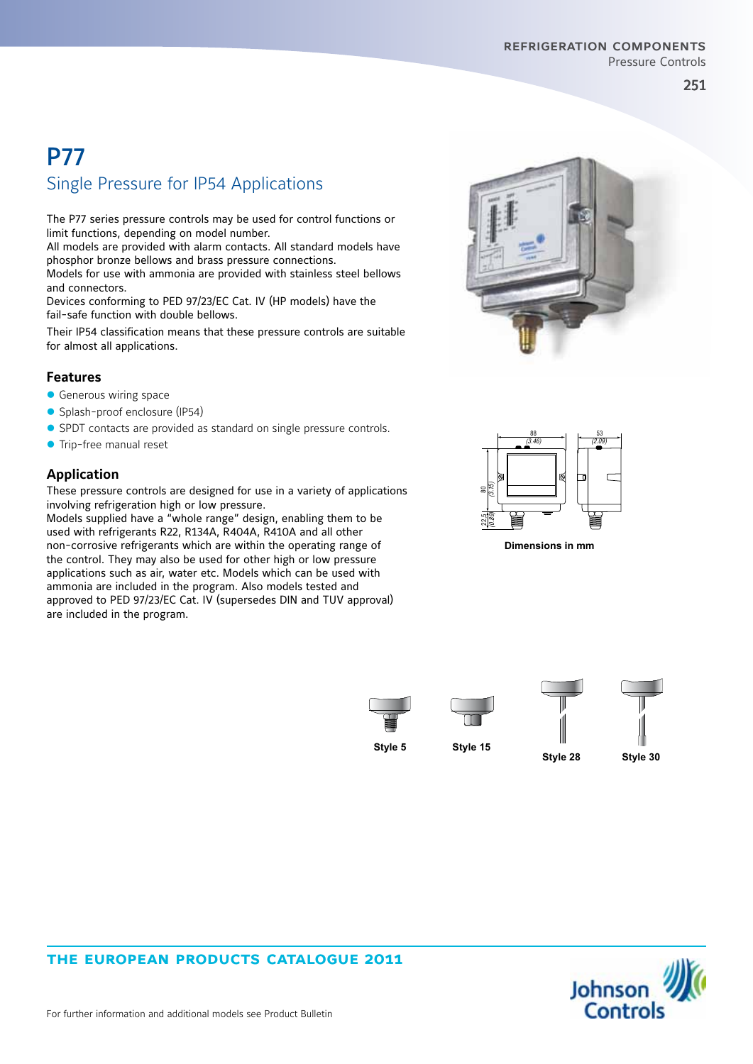#### refrigeration components Pressure Controls

251

# P77 Single Pressure for IP54 Applications

The P77 series pressure controls may be used for control functions or limit functions, depending on model number.

All models are provided with alarm contacts. All standard models have phosphor bronze bellows and brass pressure connections.

Models for use with ammonia are provided with stainless steel bellows and connectors.

Devices conforming to PED 97/23/EC Cat. IV (HP models) have the fail-safe function with double bellows.

Their IP54 classification means that these pressure controls are suitable for almost all applications.

#### **Features**

- $\bullet$  Generous wiring space
- Splash-proof enclosure (IP54)
- SPDT contacts are provided as standard on single pressure controls.
- **•** Trip-free manual reset

### **Application**

These pressure controls are designed for use in a variety of applications involving refrigeration high or low pressure.

 $m_A$ A A approved to PED 97/23/EC Cat. IV (supersedes DIN and TUV approval) Models supplied have a "whole range" design, enabling them to be used with refrigerants R22, R134A, R404A, R410A and all other non-corrosive refrigerants which are within the operating range of the control. They may also be used for other high or low pressure applications such as air, water etc. Models which can be used with ammonia are included in the program. Also models tested and are included in the program.





**Dimensions in mm** 







**Style 28 Style 30**



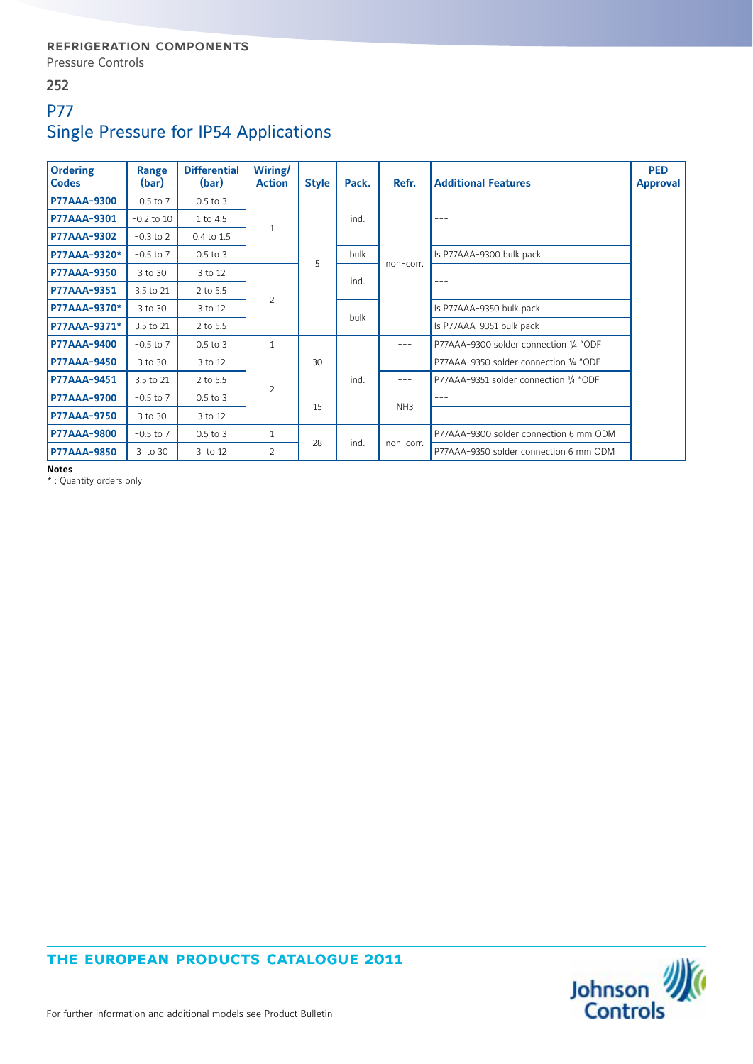#### 252

# P77 Single Pressure for IP54 Applications

| <b>Ordering</b><br><b>Codes</b> | Range<br>(bar) | <b>Differential</b><br>(bar) | Wiring/<br><b>Action</b>  | <b>Style</b> | Pack. | Refr.           | <b>Additional Features</b>             | <b>PED</b><br><b>Approval</b> |
|---------------------------------|----------------|------------------------------|---------------------------|--------------|-------|-----------------|----------------------------------------|-------------------------------|
| <b>P77AAA-9300</b>              | $-0.5$ to $7$  | $0.5$ to $3$                 | 1                         | 5            | ind.  | non-corr.       | $---$                                  |                               |
| P77AAA-9301                     | $-0.2$ to 10   | $1$ to $4.5$                 |                           |              |       |                 |                                        |                               |
| <b>P77AAA-9302</b>              | $-0.3$ to 2    | 0.4 to 1.5                   |                           |              |       |                 |                                        |                               |
| P77AAA-9320*                    | $-0.5$ to $7$  | $0.5$ to $3$                 |                           |              | bulk  |                 | Is P77AAA-9300 bulk pack               |                               |
| <b>P77AAA-9350</b>              | 3 to 30        | 3 to 12                      | $\overline{2}$            |              | ind.  |                 | $- - -$                                |                               |
| <b>P77AAA-9351</b>              | 3.5 to 21      | 2 to 5.5                     |                           |              |       |                 |                                        |                               |
| P77AAA-9370*                    | 3 to 30        | 3 to 12                      |                           |              | bulk  |                 | Is P77AAA-9350 bulk pack               |                               |
| P77AAA-9371*                    | 3.5 to 21      | 2 to 5.5                     |                           |              |       |                 | Is P77AAA-9351 bulk pack               |                               |
| <b>P77AAA-9400</b>              | $-0.5$ to $7$  | $0.5$ to $3$                 | 1                         | 30           | ind.  | $- - -$         | P77AAA-9300 solder connection 1/4 "ODF |                               |
| <b>P77AAA-9450</b>              | 3 to 30        | 3 to 12                      | $\overline{2}$            |              |       | $---$           | P77AAA-9350 solder connection 1/4 "ODF |                               |
| <b>P77AAA-9451</b>              | 3.5 to 21      | 2 to 5.5                     |                           |              |       | $---$           | P77AAA-9351 solder connection 1/4 "ODF |                               |
| <b>P77AAA-9700</b>              | $-0.5$ to $7$  | $0.5$ to $3$                 |                           | 15           |       | NH <sub>3</sub> | $---$                                  |                               |
| <b>P77AAA-9750</b>              | 3 to 30        | 3 to 12                      |                           |              |       |                 | $---$                                  |                               |
| <b>P77AAA-9800</b>              | $-0.5$ to $7$  | $0.5$ to $3$                 | 1<br>28<br>$\overline{2}$ |              | ind.  | non-corr.       | P77AAA-9300 solder connection 6 mm ODM |                               |
| <b>P77AAA-9850</b>              | 3 to 30        | 3 to 12                      |                           |              |       |                 | P77AAA-9350 solder connection 6 mm ODM |                               |

**Notes**

\* : Quantity orders only

### **the european products catalogue 2011**